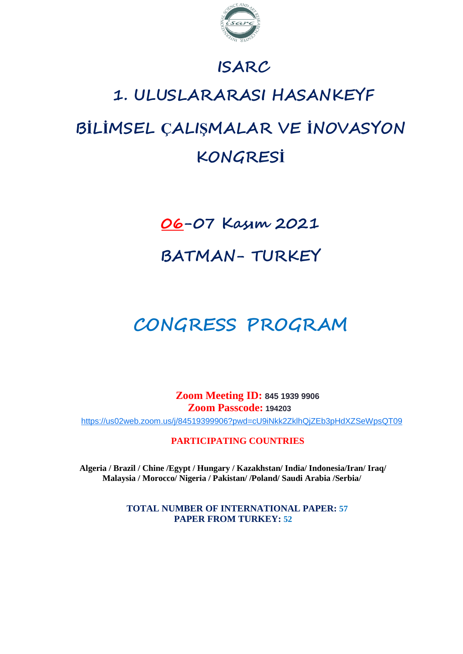

### **ISARC**

# **1. ULUSLARARASI HASANKEYF BİLİMSEL ÇALIŞMALAR VE İNOVASYON KONGRESİ**

**06-07 Kasım 2021**

### **BATMAN- TURKEY**

## **CONGRESS PROGRAM**

 **Zoom Meeting ID: 845 1939 9906 Zoom Passcode: 194203** <https://us02web.zoom.us/j/84519399906?pwd=cU9iNkk2ZklhQjZEb3pHdXZSeWpsQT09>

 **PARTICIPATING COUNTRIES**

**Algeria / Brazil / Chine /Egypt / Hungary / Kazakhstan/ India/ Indonesia/Iran/ Iraq/ Malaysia / Morocco/ Nigeria / Pakistan/ /Poland/ Saudi Arabia /Serbia/** 

> **TOTAL NUMBER OF INTERNATIONAL PAPER: 57 PAPER FROM TURKEY: 52**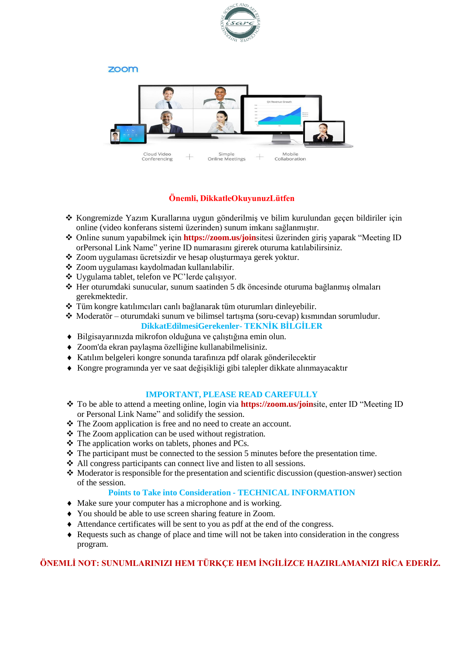

#### zoom



#### **Önemli, DikkatleOkuyunuzLütfen**

- \* Kongremizde Yazım Kurallarına uygun gönderilmiş ve bilim kurulundan geçen bildiriler için online (video konferans sistemi üzerinden) sunum imkanı sağlanmıştır.
- Online sunum yapabilmek için **https://zoom.us/join**sitesi üzerinden giriş yaparak "Meeting ID orPersonal Link Name" yerine ID numarasını girerek oturuma katılabilirsiniz.
- Zoom uygulaması ücretsizdir ve hesap oluşturmaya gerek yoktur.
- \* Zoom uygulaması kaydolmadan kullanılabilir.
- Uygulama tablet, telefon ve PC'lerde çalışıyor.
- Her oturumdaki sunucular, sunum saatinden 5 dk öncesinde oturuma bağlanmış olmaları gerekmektedir.
- Tüm kongre katılımcıları canlı bağlanarak tüm oturumları dinleyebilir.
- $\triangle$  Moderatör oturumdaki sunum ve bilimsel tartışma (soru-cevap) kısmından sorumludur. **DikkatEdilmesiGerekenler- TEKNİK BİLGİLER**
- Bilgisayarınızda mikrofon olduğuna ve çalıştığına emin olun.
- Zoom'da ekran paylaşma özelliğine kullanabilmelisiniz.
- Katılım belgeleri kongre sonunda tarafınıza pdf olarak gönderilecektir
- Kongre programında yer ve saat değişikliği gibi talepler dikkate alınmayacaktır

#### **IMPORTANT, PLEASE READ CAREFULLY**

- To be able to attend a meeting online, login via **https://zoom.us/join**site, enter ID "Meeting ID or Personal Link Name" and solidify the session.
- The Zoom application is free and no need to create an account.
- The Zoom application can be used without registration.
- The application works on tablets, phones and PCs.
- $\cdot \cdot$  The participant must be connected to the session 5 minutes before the presentation time.
- All congress participants can connect live and listen to all sessions.
- $\lozenge$  Moderator is responsible for the presentation and scientific discussion (question-answer) section of the session.

#### **Points to Take into Consideration - TECHNICAL INFORMATION**

- Make sure your computer has a microphone and is working.
- You should be able to use screen sharing feature in Zoom.
- Attendance certificates will be sent to you as pdf at the end of the congress.
- Requests such as change of place and time will not be taken into consideration in the congress program.

#### **ÖNEMLİ NOT: SUNUMLARINIZI HEM TÜRKÇE HEM İNGİLİZCE HAZIRLAMANIZI RİCA EDERİZ.**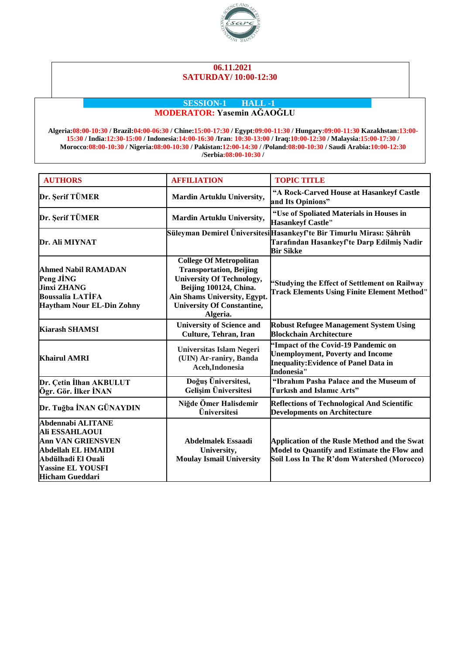

#### **SESSION-1 HALL -1 MODERATOR: Yasemin AĞAOĞLU**

**Algeria:08:00-10:30 / Brazil:04:00-06:30 / Chine:15:00-17:30 / Egypt:09:00-11:30 / Hungary:09:00-11:30 Kazakhstan:13:00- 15:30 / India:12:30-15:00 / Indonesia:14:00-16:30 /Iran: 10:30-13:00 / Iraq:10:00-12:30 / Malaysia:15:00-17:30 / Morocco:08:00-10:30 / Nigeria:08:00-10:30 / Pakistan:12:00-14:30 / /Poland:08:00-10:30 / Saudi Arabia:10:00-12:30 /Serbia:08:00-10:30 /**

| <b>AUTHORS</b>                                                                                                                                                           | <b>AFFILIATION</b>                                                                                                                                                                                              | <b>TOPIC TITLE</b>                                                                                                                          |
|--------------------------------------------------------------------------------------------------------------------------------------------------------------------------|-----------------------------------------------------------------------------------------------------------------------------------------------------------------------------------------------------------------|---------------------------------------------------------------------------------------------------------------------------------------------|
| Dr. Şerif TÜMER                                                                                                                                                          | <b>Mardin Artuklu University,</b>                                                                                                                                                                               | "A Rock-Carved House at Hasankeyf Castle<br>and Its Opinions"                                                                               |
| Dr. Şerif TÜMER                                                                                                                                                          | Mardin Artuklu University,                                                                                                                                                                                      | "Use of Spoliated Materials in Houses in<br><b>Hasankeyf Castle"</b>                                                                        |
| Dr. Ali MIYNAT                                                                                                                                                           |                                                                                                                                                                                                                 | Süleyman Demirel Üniversitesi Hasankeyf'te Bir Timurlu Mirası: Şâhrûh<br>Tarafından Hasankeyf'te Darp Edilmiş Nadir<br><b>Bir Sikke</b>     |
| <b>Ahmed Nabil RAMADAN</b><br>Peng JING<br><b>Jinxi ZHANG</b><br><b>Boussalia LATIFA</b><br><b>Haytham Nour EL-Din Zohny</b>                                             | <b>College Of Metropolitan</b><br><b>Transportation, Beijing</b><br><b>University Of Technology,</b><br>Beijing 100124, China.<br>Ain Shams University, Egypt.<br><b>University Of Constantine,</b><br>Algeria. | "Studying the Effect of Settlement on Railway<br><b>Track Elements Using Finite Element Method"</b>                                         |
| <b>Kiarash SHAMSI</b>                                                                                                                                                    | <b>University of Science and</b><br>Culture, Tehran, Iran                                                                                                                                                       | <b>Robust Refugee Management System Using</b><br><b>Blockchain Architecture</b>                                                             |
| <b>Khairul AMRI</b>                                                                                                                                                      | Universitas Islam Negeri<br>(UIN) Ar-raniry, Banda<br>Aceh, Indonesia                                                                                                                                           | "Impact of the Covid-19 Pandemic on<br><b>Unemployment, Poverty and Income</b><br><b>Inequality:Evidence of Panel Data in</b><br>Indonesia" |
| Dr. Çetin İlhan AKBULUT<br>Ögr. Gör. İlker İNAN                                                                                                                          | Doğuş Üniversitesi,<br>Gelişim Üniversitesi                                                                                                                                                                     | "Ibrahim Pasha Palace and the Museum of<br><b>Turkish and Islamic Arts"</b>                                                                 |
| Dr. Tuğba İNAN GÜNAYDIN                                                                                                                                                  | Niğde Ömer Halisdemir<br>Üniversitesi                                                                                                                                                                           | <b>Reflections of Technological And Scientific</b><br><b>Developments on Architecture</b>                                                   |
| Abdennabi ALITANE<br>Ali ESSAHLAOUI<br><b>Ann VAN GRIENSVEN</b><br><b>Abdellah EL HMAIDI</b><br>Abdülhadi El Ouali<br><b>Yassine EL YOUSFI</b><br><b>Hicham Gueddari</b> | Abdelmalek Essaadi<br>University,<br><b>Moulay Ismail University</b>                                                                                                                                            | Application of the Rusle Method and the Swat<br>Model to Quantify and Estimate the Flow and<br>Soil Loss In The R'dom Watershed (Morocco)   |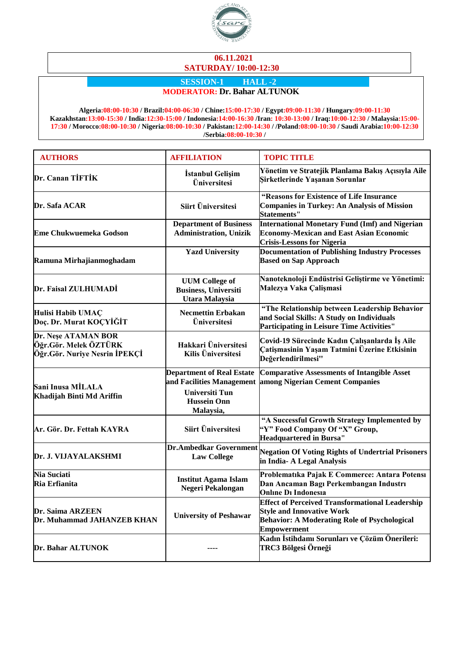

**SESSION-1 HALL -2 MODERATOR: Dr. Bahar ALTUNOK**

**Algeria:08:00-10:30 / Brazil:04:00-06:30 / Chine:15:00-17:30 / Egypt:09:00-11:30 / Hungary:09:00-11:30 Kazakhstan:13:00-15:30 / India:12:30-15:00 / Indonesia:14:00-16:30 /Iran: 10:30-13:00 / Iraq:10:00-12:30 / Malaysia:15:00- 17:30 / Morocco:08:00-10:30 / Nigeria:08:00-10:30 / Pakistan:12:00-14:30 / /Poland:08:00-10:30 / Saudi Arabia:10:00-12:30 /Serbia:08:00-10:30 /** 

| <b>AUTHORS</b>                                                                | <b>AFFILIATION</b>                                                                           | <b>TOPIC TITLE</b>                                                                                                                                                      |
|-------------------------------------------------------------------------------|----------------------------------------------------------------------------------------------|-------------------------------------------------------------------------------------------------------------------------------------------------------------------------|
| Dr. Canan TİFTİK                                                              | İstanbul Gelişim<br>Üniversitesi                                                             | Yönetim ve Stratejik Planlama Bakış Açısıyla Aile<br>Sirketlerinde Yaşanan Sorunlar                                                                                     |
| Dr. Safa ACAR                                                                 | Siirt Üniversitesi                                                                           | "Reasons for Existence of Life Insurance<br><b>Companies in Turkey: An Analysis of Mission</b><br><b>Statements"</b>                                                    |
| <b>Eme Chukwuemeka Godson</b>                                                 | <b>Department of Business</b><br><b>Administration</b> , Unizik                              | <b>International Monetary Fund (Imf) and Nigerian</b><br><b>Economy-Mexican and East Asian Economic</b><br><b>Crisis-Lessons for Nigeria</b>                            |
| Ramuna Mirhajianmoghadam                                                      | <b>Yazd University</b>                                                                       | <b>Documentation of Publishing Industry Processes</b><br><b>Based on Sap Approach</b>                                                                                   |
| Dr. Faisal ZULHUMADİ                                                          | <b>UUM</b> College of<br><b>Business, Universiti</b><br><b>Utara Malaysia</b>                | Nanoteknoloji Endüstrisi Geliştirme ve Yönetimi:<br>Malezya Vaka Çalişmasi                                                                                              |
| Hulisi Habib UMAÇ<br>Doç. Dr. Murat KOÇYİĞİT                                  | <b>Necmettin Erbakan</b><br>Üniversitesi                                                     | "The Relationship between Leadership Behavior<br>and Social Skills: A Study on Individuals<br><b>Participating in Leisure Time Activities"</b>                          |
| Dr. Neșe ATAMAN BOR<br>Öğr.Gör. Melek ÖZTÜRK<br>Öğr.Gör. Nuriye Nesrin İPEKÇİ | Hakkari Üniversitesi<br>Kilis Üniversitesi                                                   | Covid-19 Sürecinde Kadın Çalışanlarda İş Aile<br>Çatişmasinin Yaşam Tatmini Üzerine Etkisinin<br>Değerlendirilmesi"                                                     |
| Sani Inusa MİLALA<br>Khadijah Binti Md Ariffin                                | <b>Department of Real Estate</b><br><b>Universiti Tun</b><br><b>Hussein Onn</b><br>Malaysia, | <b>Comparative Assessments of Intangible Asset</b><br>and Facilities Management among Nigerian Cement Companies                                                         |
| Ar. Gör. Dr. Fettah KAYRA                                                     | Siirt Üniversitesi                                                                           | "A Successful Growth Strategy Implemented by<br>"Y" Food Company Of "X" Group,<br><b>Headquartered in Bursa"</b>                                                        |
| Dr. J. VIJAYALAKSHMI                                                          | <b>Dr.Ambedkar Government</b><br><b>Law College</b>                                          | <b>Negation Of Voting Rights of Undertrial Prisoners</b><br>in India- A Legal Analysis                                                                                  |
| Nia Suciati<br>Ria Erfianita                                                  | <b>Institut Agama Islam</b><br>Negeri Pekalongan                                             | Problematika Pajak E Commerce: Antara Potensi<br>Dan Ancaman Bagi Perkembangan Industri<br><b>Online Di Indonesia</b>                                                   |
| Dr. Saima ARZEEN<br>Dr. Muhammad JAHANZEB KHAN                                | <b>University of Peshawar</b>                                                                | <b>Effect of Perceived Transformational Leadership</b><br><b>Style and Innovative Work</b><br><b>Behavior: A Moderating Role of Psychological</b><br><b>Empowerment</b> |
| Dr. Bahar ALTUNOK                                                             |                                                                                              | Kadın İstihdamı Sorunları ve Çözüm Önerileri:<br>TRC3 Bölgesi Örneği                                                                                                    |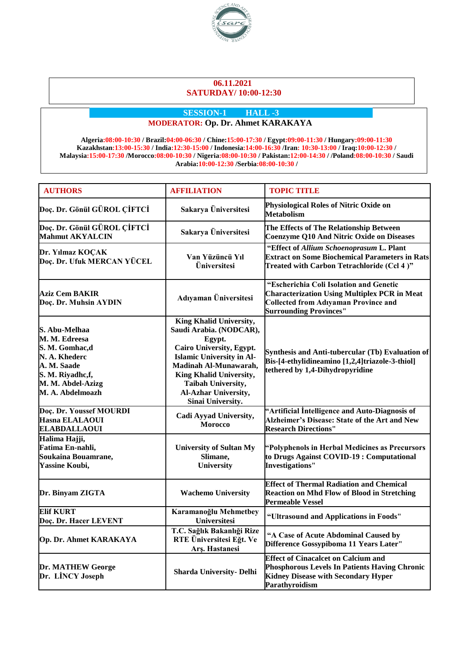

#### **SESSION-1 HALL -3 MODERATOR: Op. Dr. Ahmet KARAKAYA**

**Algeria:08:00-10:30 / Brazil:04:00-06:30 / Chine:15:00-17:30 / Egypt:09:00-11:30 / Hungary:09:00-11:30 Kazakhstan:13:00-15:30 / India:12:30-15:00 / Indonesia:14:00-16:30 /Iran: 10:30-13:00 / Iraq:10:00-12:30 / Malaysia:15:00-17:30 /Morocco:08:00-10:30 / Nigeria:08:00-10:30 / Pakistan:12:00-14:30 / /Poland:08:00-10:30 / Saudi Arabia:10:00-12:30 /Serbia:08:00-10:30 /** 

| <b>AUTHORS</b>                                                                                                                                | <b>AFFILIATION</b>                                                                                                                                                                                                                                  | <b>TOPIC TITLE</b>                                                                                                                                                             |
|-----------------------------------------------------------------------------------------------------------------------------------------------|-----------------------------------------------------------------------------------------------------------------------------------------------------------------------------------------------------------------------------------------------------|--------------------------------------------------------------------------------------------------------------------------------------------------------------------------------|
| Doç. Dr. Gönül GÜROL ÇİFTCİ                                                                                                                   | Sakarya Üniversitesi                                                                                                                                                                                                                                | Physiological Roles of Nitric Oxide on<br><b>Metabolism</b>                                                                                                                    |
| Doç. Dr. Gönül GÜROL ÇİFTCİ<br><b>Mahmut AKYALCIN</b>                                                                                         | Sakarya Üniversitesi                                                                                                                                                                                                                                | The Effects of The Relationship Between<br><b>Coenzyme Q10 And Nitric Oxide on Diseases</b>                                                                                    |
| Dr. Yılmaz KOÇAK<br>Doç. Dr. Ufuk MERCAN YÜCEL                                                                                                | Van Yüzüncü Yıl<br>Üniversitesi                                                                                                                                                                                                                     | "Effect of Allium Schoenoprasum L. Plant<br><b>Extract on Some Biochemical Parameters in Rats</b><br>Treated with Carbon Tetrachloride (Ccl 4)"                                |
| <b>Aziz Cem BAKIR</b><br>Doç. Dr. Muhsin AYDIN                                                                                                | Adıyaman Üniversitesi                                                                                                                                                                                                                               | "Escherichia Coli Isolation and Genetic<br><b>Characterization Using Multiplex PCR in Meat</b><br><b>Collected from Adiyaman Province and</b><br><b>Surrounding Provinces"</b> |
| S. Abu-Melhaa<br>M. M. Edreesa<br>S. M. Gomhac,d<br>N. A. Khederc<br>A. M. Saade<br>S. M. Riyadhc,f,<br>M. M. Abdel-Azizg<br>M. A. Abdelmoazh | King Khalid University,<br>Saudi Arabia. (NODCAR),<br>Egypt.<br>Cairo University, Egypt.<br><b>Islamic University in Al-</b><br>Madinah Al-Munawarah,<br>King Khalid University,<br>Taibah University,<br>Al-Azhar University,<br>Sinai University. | Synthesis and Anti-tubercular (Tb) Evaluation of<br>Bis-[4-ethylidineamino [1,2,4]triazole-3-thiol]<br>tethered by 1,4-Dihydropyridine                                         |
| Doc. Dr. Youssef MOURDI<br><b>Hasna ELALAOUI</b><br><b>ELABDALLAOUI</b>                                                                       | Cadi Ayyad University,<br><b>Morocco</b>                                                                                                                                                                                                            | "Artificial Intelligence and Auto-Diagnosis of<br>Alzheimer's Disease: State of the Art and New<br><b>Research Directions"</b>                                                 |
| Halima Hajji,<br>Fatima En-nahli,<br>Soukaina Bouamrane,<br>Yassine Koubi,                                                                    | <b>University of Sultan My</b><br>Slimane,<br>University                                                                                                                                                                                            | "Polyphenols in Herbal Medicines as Precursors"<br>to Drugs Against COVID-19: Computational<br><b>Investigations"</b>                                                          |
| Dr. Binyam ZIGTA                                                                                                                              | <b>Wachemo University</b>                                                                                                                                                                                                                           | <b>Effect of Thermal Radiation and Chemical</b><br><b>Reaction on Mhd Flow of Blood in Stretching</b><br><b>Permeable Vessel</b>                                               |
| <b>Elif KURT</b><br>Doç. Dr. Hacer LEVENT                                                                                                     | Karamanoğlu Mehmetbey<br>Universitesi                                                                                                                                                                                                               | "Ultrasound and Applications in Foods"                                                                                                                                         |
| Op. Dr. Ahmet KARAKAYA                                                                                                                        | T.C. Sağlık Bakanlıği Rize<br>RTE Üniversitesi Eğt. Ve<br>Arş. Hastanesi                                                                                                                                                                            | "A Case of Acute Abdominal Caused by<br>Difference Gossypiboma 11 Years Later"                                                                                                 |
| Dr. MATHEW George<br>Dr. LINCY Joseph                                                                                                         | Sharda University- Delhi                                                                                                                                                                                                                            | <b>Effect of Cinacalcet on Calcium and</b><br><b>Phosphorous Levels In Patients Having Chronic</b><br><b>Kidney Disease with Secondary Hyper</b><br>Parathyroidism             |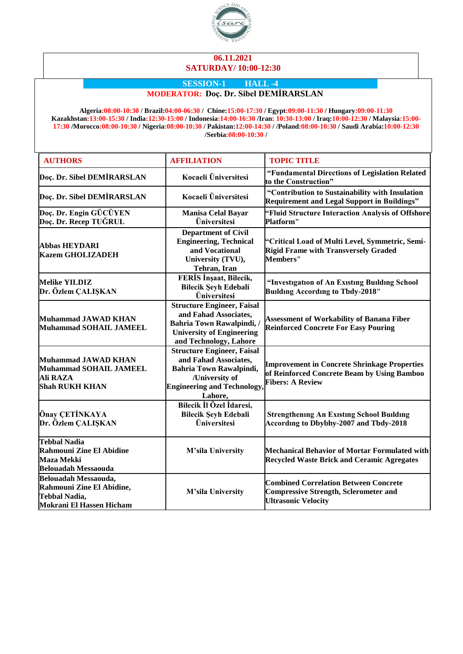

**SESSION-1 HALL -4**

#### **MODERATOR: Doç. Dr. Sibel DEMİRARSLAN**

**Algeria:08:00-10:30 / Brazil:04:00-06:30 / Chine:15:00-17:30 / Egypt:09:00-11:30 / Hungary:09:00-11:30 Kazakhstan:13:00-15:30 / India:12:30-15:00 / Indonesia:14:00-16:30 /Iran: 10:30-13:00 / Iraq:10:00-12:30 / Malaysia:15:00- 17:30 /Morocco:08:00-10:30 / Nigeria:08:00-10:30 / Pakistan:12:00-14:30 / /Poland:08:00-10:30 / Saudi Arabia:10:00-12:30 /Serbia:08:00-10:30 /** 

| <b>AUTHORS</b>                                                                                                      | <b>AFFILIATION</b>                                                                                                                                       | <b>TOPIC TITLE</b>                                                                                                            |
|---------------------------------------------------------------------------------------------------------------------|----------------------------------------------------------------------------------------------------------------------------------------------------------|-------------------------------------------------------------------------------------------------------------------------------|
| Doc. Dr. Sibel DEMIRARSLAN                                                                                          | Kocaeli Üniversitesi                                                                                                                                     | "Fundamental Directions of Legislation Related<br>to the Construction"                                                        |
| Doc. Dr. Sibel DEMIRARSLAN                                                                                          | Kocaeli Üniversitesi                                                                                                                                     | "Contribution to Sustainability with Insulation<br><b>Requirement and Legal Support in Buildings"</b>                         |
| Doç. Dr. Engin GÜCÜYEN<br>Doc. Dr. Recep TUĞRUL                                                                     | <b>Manisa Celal Bayar</b><br>Üniversitesi                                                                                                                | "Fluid Structure Interaction Analysis of Offshore<br><b>Platform"</b>                                                         |
| <b>Abbas HEYDARI</b><br><b>Kazem GHOLIZADEH</b>                                                                     | <b>Department of Civil</b><br><b>Engineering, Technical</b><br>and Vocational<br>University (TVU),<br><b>Tehran</b> , Iran                               | "Critical Load of Multi Level, Symmetric, Semi-<br><b>Rigid Frame with Transversely Graded</b><br>Members"                    |
| <b>Melike YILDIZ</b><br>Dr. Özlem ÇALIŞKAN                                                                          | <b>FERIS</b> Insaat, Bilecik,<br><b>Bilecik Şeyh Edebali</b><br>Üniversitesi                                                                             | "Investigation of An Existing Building School<br><b>Building According to Tbdy-2018"</b>                                      |
| <b>Muhammad JAWAD KHAN</b><br><b>Muhammad SOHAIL JAMEEL</b>                                                         | <b>Structure Engineer, Faisal</b><br>and Fahad Associates,<br>Bahria Town Rawalpindi,<br><b>University of Engineering</b><br>and Technology, Lahore      | <b>Assessment of Workability of Banana Fiber</b><br><b>Reinforced Concrete For Easy Pouring</b>                               |
| Muhammad JAWAD KHAN<br>Muhammad SOHAIL JAMEEL<br>Ali RAZA<br><b>Shah RUKH KHAN</b>                                  | <b>Structure Engineer, Faisal</b><br>and Fahad Associates,<br>Bahria Town Rawalpindi,<br>/University of<br><b>Engineering and Technology,</b><br>Lahore, | <b>Improvement in Concrete Shrinkage Properties</b><br>of Reinforced Concrete Beam by Using Bamboo<br><b>Fibers: A Review</b> |
| Önay ÇETİNKAYA<br>Dr. Özlem ÇALIŞKAN                                                                                | Bilecik İl Özel İdaresi,<br><b>Bilecik Şeyh Edebali</b><br>Üniversitesi                                                                                  | <b>Strengthening An Existing School Building</b><br>According to Dbybhy-2007 and Tbdy-2018                                    |
| <b>Tebbal Nadia</b><br>Rahmouni Zine El Abidine<br><b>Maza Mekki</b><br><b>Belouadah Messaouda</b>                  | M'sila University                                                                                                                                        | <b>Mechanical Behavior of Mortar Formulated with</b><br><b>Recycled Waste Brick and Ceramic Agregates</b>                     |
| <b>Belouadah Messaouda,</b><br>Rahmouni Zine El Abidine,<br><b>Tebbal Nadia,</b><br><b>Mokrani El Hassen Hicham</b> | M'sila University                                                                                                                                        | <b>Combined Correlation Between Concrete</b><br><b>Compressive Strength, Sclerometer and</b><br><b>Ultrasonic Velocity</b>    |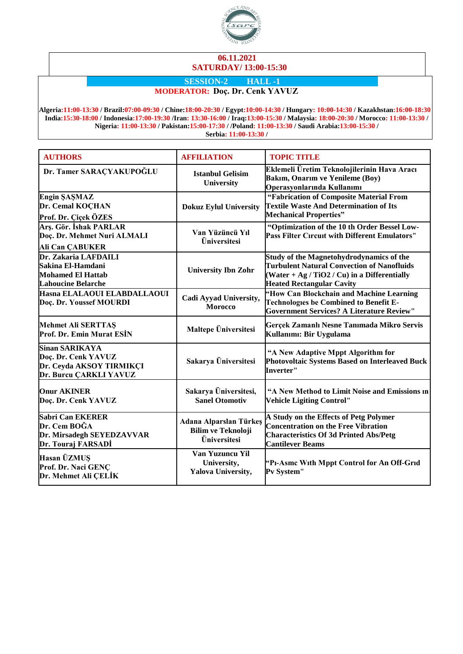

**SESSION-2 HALL -1**

#### **MODERATOR: Doç. Dr. Cenk YAVUZ**

**Algeria:11:00-13:30 / Brazil:07:00-09:30 / Chine:18:00-20:30 / Egypt:10:00-14:30 / Hungary: 10:00-14:30 / Kazakhstan:16:00-18:30 / India:15:30-18:00 / Indonesia:17:00-19:30 /Iran: 13:30-16:00 / Iraq:13:00-15:30 / Malaysia: 18:00-20:30 / Morocco: 11:00-13:30 / Nigeria: 11:00-13:30 / Pakistan:15:00-17:30 / /Poland: 11:00-13:30 / Saudi Arabia:13:00-15:30 / Serbia: 11:00-13:30 /**

| <b>AUTHORS</b>                                                                                     | <b>AFFILIATION</b>                                                  | <b>TOPIC TITLE</b>                                                                                                                                                                |
|----------------------------------------------------------------------------------------------------|---------------------------------------------------------------------|-----------------------------------------------------------------------------------------------------------------------------------------------------------------------------------|
| Dr. Tamer SARAÇYAKUPOĞLU                                                                           | <b>Istanbul Gelisim</b><br>University                               | Eklemeli Üretim Teknolojilerinin Hava Aracı<br>Bakım, Onarım ve Yenileme (Boy)<br>Operasyonlarında Kullanımı                                                                      |
| Engin ŞAŞMAZ<br>Dr. Cemal KOÇHAN<br>Prof. Dr. Çiçek ÖZES                                           | <b>Dokuz Eylul University</b>                                       | "Fabrication of Composite Material From<br><b>Textile Waste And Determination of Its</b><br><b>Mechanical Properties"</b>                                                         |
| Arş. Gör. İshak PARLAR<br>Doc. Dr. Mehmet Nuri ALMALI<br>Ali Can ÇABUKER                           | Van Yüzüncü Yıl<br>Üniversitesi                                     | "Optimization of the 10 th Order Bessel Low-<br>Pass Filter Circuit with Different Emulators"                                                                                     |
| Dr. Zakaria LAFDAILI<br>Sakina El-Hamdani<br><b>Mohamed El Hattab</b><br><b>Lahoucine Belarche</b> | <b>University Ibn Zohr</b>                                          | Study of the Magnetohydrodynamics of the<br><b>Turbulent Natural Convection of Nanofluids</b><br>(Water + Ag / TiO2 / Cu) in a Differentially<br><b>Heated Rectangular Cavity</b> |
| Hasna ELALAOUI ELABDALLAOUI<br>Doc. Dr. Youssef MOURDI                                             | Cadi Ayyad University,<br><b>Morocco</b>                            | "How Can Blockchain and Machine Learning<br><b>Technologies be Combined to Benefit E-</b><br><b>Government Services? A Literature Review"</b>                                     |
| <b>Mehmet Ali SERTTAŞ</b><br><b>Prof. Dr. Emin Murat ESIN</b>                                      | Maltepe Üniversitesi                                                | Gerçek Zamanlı Nesne Tanımada Mikro Servis<br>Kullanımı: Bir Uygulama                                                                                                             |
| Sinan SARIKAYA<br>Doç. Dr. Cenk YAVUZ<br>Dr. Ceyda AKSOY TIRMIKÇI<br>Dr. Burcu ÇARKLI YAVUZ        | Sakarya Üniversitesi                                                | "A New Adaptive Mppt Algorithm for<br>Photovoltaic Systems Based on Interleaved Buck<br><b>Inverter"</b>                                                                          |
| <b>Onur AKINER</b><br>Doç. Dr. Cenk YAVUZ                                                          | Sakarya Üniversitesi,<br><b>Sanel Otomotiv</b>                      | "A New Method to Limit Noise and Emissions in<br><b>Vehicle Ligiting Control"</b>                                                                                                 |
| <b>Sabri Can EKERER</b><br>Dr. Cem BOĞA<br>Dr. Mirsadegh SEYEDZAVVAR<br>Dr. Touraj FARSADI         | Adana Alparslan Türkeş<br><b>Bilim ve Teknoloji</b><br>Üniversitesi | A Study on the Effects of Petg Polymer<br><b>Concentration on the Free Vibration</b><br><b>Characteristics Of 3d Printed Abs/Petg</b><br><b>Cantilever Beams</b>                  |
| Hasan ÜZMUŞ<br>Prof. Dr. Naci GENC<br>Dr. Mehmet Ali ÇELİK                                         | Van Yuzuncu Yil<br>University,<br>Yalova University,                | "Pi-Asmc With Mppt Control for An Off-Grid<br>Pv System"                                                                                                                          |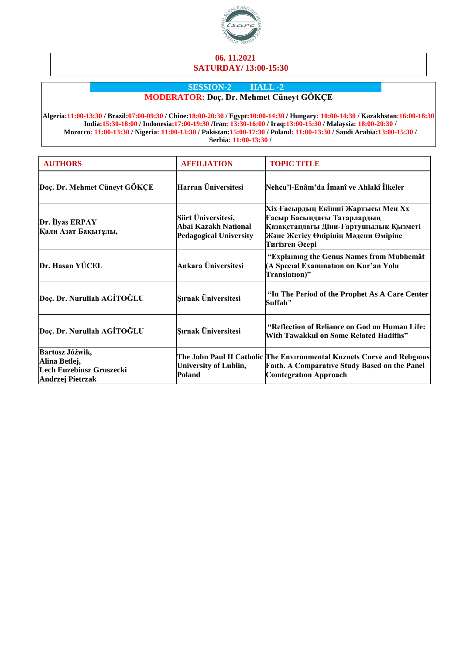

**SESSION-2 HALL -2**

#### **MODERATOR: Doç. Dr. Mehmet Cüneyt GÖKÇE**

**Algeria:11:00-13:30 / Brazil:07:00-09:30 / Chine:18:00-20:30 / Egypt:10:00-14:30 / Hungary: 10:00-14:30 / Kazakhstan:16:00-18:30 / India:15:30-18:00 / Indonesia:17:00-19:30 /Iran: 13:30-16:00 / Iraq:13:00-15:30 / Malaysia: 18:00-20:30 / Morocco: 11:00-13:30 / Nigeria: 11:00-13:30 / Pakistan:15:00-17:30 / Poland: 11:00-13:30 / Saudi Arabia:13:00-15:30 / Serbia: 11:00-13:30 /**

| <b>AUTHORS</b>                                                                   | <b>AFFILIATION</b>                                                           | <b>TOPIC TITLE</b>                                                                                                                                                  |
|----------------------------------------------------------------------------------|------------------------------------------------------------------------------|---------------------------------------------------------------------------------------------------------------------------------------------------------------------|
| Doç. Dr. Mehmet Cüneyt GÖKÇE                                                     | Harran Üniversitesi                                                          | Nehcu'l-Enâm'da İmanî ve Ahlakî İlkeler                                                                                                                             |
| Dr. Ilyas ERPAY<br>Қали Азат Бақытұлы,                                           | Siirt Üniversitesi,<br>Abai Kazakh National<br><b>Pedagogical University</b> | Хіх Ғасырдың Екінші Жартысы Мен Хх<br>Ғасыр Басындағы Татарлардың<br>Қазақстандағы Діни-Ғартушылық Қызметі<br>Және Жетісу Өңірінің Мәдени Өміріне<br>Тигізген Әсері |
| Dr. Hasan YÜCEL                                                                  | Ankara Üniversitesi                                                          | "Explaining the Genus Names from Mubhemât<br>(A Special Examination on Kur'an Yolu<br>Translation)"                                                                 |
| Doç. Dr. Nurullah AGİTOĞLU                                                       | Sırnak Üniversitesi                                                          | "In The Period of the Prophet As A Care Center"<br>Suffah''                                                                                                         |
| Doç. Dr. Nurullah AGİTOĞLU                                                       | Sırnak Üniversitesi                                                          | "Reflection of Reliance on God on Human Life:<br>With Tawakkul on Some Related Hadiths"                                                                             |
| Bartosz Jóźwik,<br>Alina Betlej,<br>Lech Euzebiusz Gruszecki<br>Andrzej Pietrzak | <b>University of Lublin,</b><br>Poland                                       | The John Paul II Catholic The Environmental Kuznets Curve and Religious<br>Faith. A Comparative Study Based on the Panel<br><b>Cointegration Approach</b>           |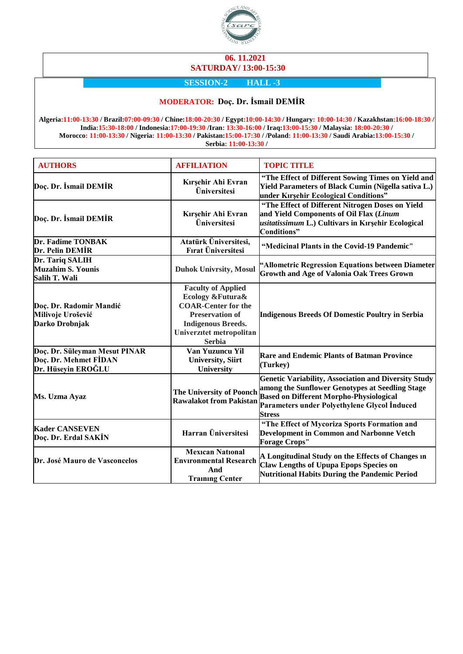

**SESSION-2 HALL -3**

#### **MODERATOR: Doç. Dr. İsmail DEMİR**

**Algeria:11:00-13:30 / Brazil:07:00-09:30 / Chine:18:00-20:30 / Egypt:10:00-14:30 / Hungary: 10:00-14:30 / Kazakhstan:16:00-18:30 / India:15:30-18:00 / Indonesia:17:00-19:30 /Iran: 13:30-16:00 / Iraq:13:00-15:30 / Malaysia: 18:00-20:30 / Morocco: 11:00-13:30 / Nigeria: 11:00-13:30 / Pakistan:15:00-17:30 / /Poland: 11:00-13:30 / Saudi Arabia:13:00-15:30 / Serbia: 11:00-13:30 /**

| <b>AUTHORS</b>                                                               | <b>AFFILIATION</b>                                                                                                                                                                | <b>TOPIC TITLE</b>                                                                                                                                                                                                                |
|------------------------------------------------------------------------------|-----------------------------------------------------------------------------------------------------------------------------------------------------------------------------------|-----------------------------------------------------------------------------------------------------------------------------------------------------------------------------------------------------------------------------------|
| Doç. Dr. İsmail DEMİR                                                        | Kırşehir Ahi Evran<br>Üniversitesi                                                                                                                                                | "The Effect of Different Sowing Times on Yield and<br>Yield Parameters of Black Cumin (Nigella sativa L.)<br>under Kırşehir Ecological Conditions"                                                                                |
| Doc. Dr. İsmail DEMİR                                                        | Kırşehir Ahi Evran<br>Üniversitesi                                                                                                                                                | "The Effect of Different Nitrogen Doses on Yield<br>and Yield Components of Oil Flax (Linum<br>usitatissimum L.) Cultivars in Kırşehir Ecological<br><b>Conditions</b> "                                                          |
| Dr. Fadime TONBAK<br>Dr. Pelin DEMİR                                         | Atatürk Üniversitesi,<br>Fırat Üniversitesi                                                                                                                                       | "Medicinal Plants in the Covid-19 Pandemic"                                                                                                                                                                                       |
| Dr. Tariq SALIH<br><b>Muzahim S. Younis</b><br>Salih T. Wali                 | <b>Duhok Univrsity, Mosul</b>                                                                                                                                                     | "Allometric Regression Equations between Diameter<br><b>Growth and Age of Valonia Oak Trees Grown</b>                                                                                                                             |
| Doç. Dr. Radomir Mandić<br>Milivoje Urošević<br>Darko Drobnjak               | <b>Faculty of Applied</b><br>Ecology & Futura &<br><b>COAR-Center for the</b><br><b>Preservation of</b><br><b>Indigenous Breeds.</b><br>Univerzitet metropolitan<br><b>Serbia</b> | <b>Indigenous Breeds Of Domestic Poultry in Serbia</b>                                                                                                                                                                            |
| Doc. Dr. Süleyman Mesut PINAR<br>Doc. Dr. Mehmet FİDAN<br>Dr. Hüseyin EROĞLU | Van Yuzuncu Yil<br><b>University</b> , Siirt<br><b>University</b>                                                                                                                 | Rare and Endemic Plants of Batman Province<br>(Turkey)                                                                                                                                                                            |
| Ms. Uzma Ayaz                                                                | <b>The University of Poonch</b><br><b>Rawalakot from Pakistan</b>                                                                                                                 | <b>Genetic Variability, Association and Diversity Study</b><br>among the Sunflower Genotypes at Seedling Stage<br><b>Based on Different Morpho-Physiological</b><br>Parameters under Polyethylene Glycol Induced<br><b>Stress</b> |
| <b>Kader CANSEVEN</b><br>Doç. Dr. Erdal SAKİN                                | Harran Üniversitesi                                                                                                                                                               | "The Effect of Mycoriza Sports Formation and<br><b>Development in Common and Narbonne Vetch</b><br><b>Forage Crops"</b>                                                                                                           |
| Dr. José Mauro de Vasconcelos                                                | <b>Mexican National</b><br><b>Environmental Research</b><br>And<br><b>Training Center</b>                                                                                         | A Longitudinal Study on the Effects of Changes in<br><b>Claw Lengths of Upupa Epops Species on</b><br><b>Nutritional Habits During the Pandemic Period</b>                                                                        |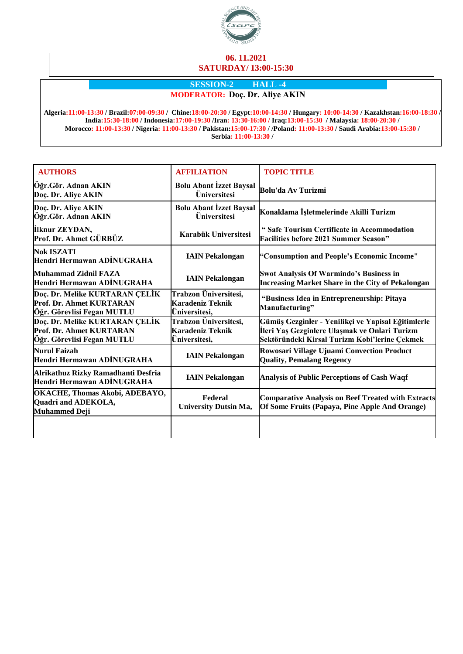

**SESSION-2 HALL -4**

 **MODERATOR: Doç. Dr. Aliye AKIN**

**Algeria:11:00-13:30 / Brazil:07:00-09:30 / Chine:18:00-20:30 / Egypt:10:00-14:30 / Hungary: 10:00-14:30 / Kazakhstan:16:00-18:30 / India:15:30-18:00 / Indonesia:17:00-19:30 /Iran: 13:30-16:00 / Iraq:13:00-15:30 / Malaysia: 18:00-20:30 / Morocco: 11:00-13:30 / Nigeria: 11:00-13:30 / Pakistan:15:00-17:30 / /Poland: 11:00-13:30 / Saudi Arabia:13:00-15:30 / Serbia: 11:00-13:30 /**

| <b>AUTHORS</b>                                                                           | <b>AFFILIATION</b>                                                | <b>TOPIC TITLE</b>                                                                                                                                   |
|------------------------------------------------------------------------------------------|-------------------------------------------------------------------|------------------------------------------------------------------------------------------------------------------------------------------------------|
| Öğr.Gör. Adnan AKIN<br>Doç. Dr. Aliye AKIN                                               | <b>Bolu Abant Izzet Baysal</b><br><b>Üniversitesi</b>             | Bolu'da Av Turizmi                                                                                                                                   |
| Doç. Dr. Aliye AKIN<br>Öğr.Gör. Adnan AKIN                                               | <b>Bolu Abant Izzet Baysal</b><br><b>Üniversitesi</b>             | Konaklama İşletmelerinde Akilli Turizm                                                                                                               |
| İlknur ZEYDAN,<br>Prof. Dr. Ahmet GÜRBÜZ                                                 | Karabük Universitesi                                              | "Safe Tourism Certificate in Accommodation<br><b>Facilities before 2021 Summer Season"</b>                                                           |
| <b>Nok ISZATI</b><br>Hendri Hermawan ADİNUGRAHA                                          | <b>IAIN Pekalongan</b>                                            | "Consumption and People's Economic Income"                                                                                                           |
| Muhammad Zidnil FAZA<br>Hendri Hermawan ADİNUGRAHA                                       | <b>IAIN Pekalongan</b>                                            | <b>Swot Analysis Of Warmindo's Business in</b><br><b>Increasing Market Share in the City of Pekalongan</b>                                           |
| Doc. Dr. Melike KURTARAN ÇELİK<br>Prof. Dr. Ahmet KURTARAN<br>Öğr. Görevlisi Fegan MUTLU | Trabzon Üniversitesi,<br><b>Karadeniz Teknik</b><br>Üniversitesi, | "Business Idea in Entrepreneurship: Pitaya<br>Manufacturing"                                                                                         |
| Doç. Dr. Melike KURTARAN ÇELİK<br>Prof. Dr. Ahmet KURTARAN<br>Öğr. Görevlisi Fegan MUTLU | Trabzon Üniversitesi,<br><b>Karadeniz Teknik</b><br>Üniversitesi, | Gümüş Gezginler - Yenilikçi ve Yapisal Eğitimlerle<br>İleri Yaş Gezginlere Ulaşmak ve Onlari Turizm<br>Sektöründeki Kirsal Turizm Kobi'lerine Çekmek |
| <b>Nurul Faizah</b><br>Hendri Hermawan ADİNUGRAHA                                        | <b>IAIN Pekalongan</b>                                            | Rowosari Village Ujuami Convection Product<br><b>Quality, Pemalang Regency</b>                                                                       |
| Alrikathuz Rizky Ramadhanti Desfria<br>Hendri Hermawan ADİNUGRAHA                        | <b>IAIN Pekalongan</b>                                            | <b>Analysis of Public Perceptions of Cash Waqf</b>                                                                                                   |
| OKACHE, Thomas Akobi, ADEBAYO,<br>Quadri and ADEKOLA,<br><b>Muhammed Deji</b>            | Federal<br><b>University Dutsin Ma,</b>                           | <b>Comparative Analysis on Beef Treated with Extracts</b><br>Of Some Fruits (Papaya, Pine Apple And Orange)                                          |
|                                                                                          |                                                                   |                                                                                                                                                      |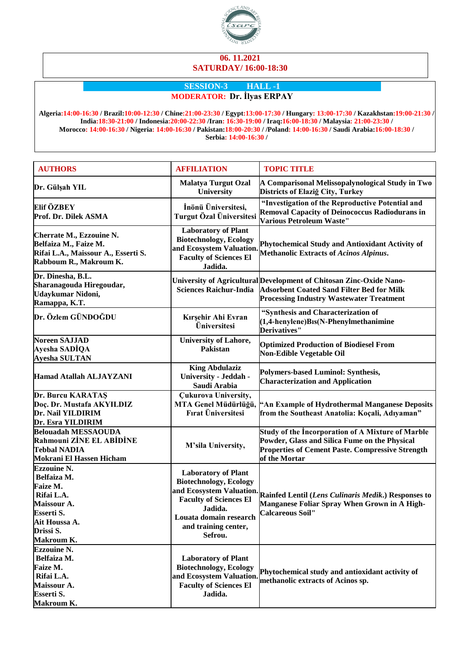

#### **SESSION-3 HALL -1 MODERATOR: Dr. İlyas ERPAY**

**Algeria:14:00-16:30 / Brazil:10:00-12:30 / Chine:21:00-23:30 / Egypt:13:00-17:30 / Hungary: 13:00-17:30 / Kazakhstan:19:00-21:30 / India:18:30-21:00 / Indonesia:20:00-22:30 /Iran: 16:30-19:00 / Iraq:16:00-18:30 / Malaysia: 21:00-23:30 / Morocco: 14:00-16:30 / Nigeria: 14:00-16:30 / Pakistan:18:00-20:30 / /Poland: 14:00-16:30 / Saudi Arabia:16:00-18:30 / Serbia: 14:00-16:30 /**

| <b>AUTHORS</b>                                                                                                                       | <b>AFFILIATION</b>                                                                                                                                                                               | <b>TOPIC TITLE</b>                                                                                                                                                         |
|--------------------------------------------------------------------------------------------------------------------------------------|--------------------------------------------------------------------------------------------------------------------------------------------------------------------------------------------------|----------------------------------------------------------------------------------------------------------------------------------------------------------------------------|
| Dr. Gülşah YIL                                                                                                                       | <b>Malatya Turgut Ozal</b><br><b>University</b>                                                                                                                                                  | A Comparisonal Melissopalynological Study in Two<br>Districts of Elaziğ City, Turkey                                                                                       |
| <b>Elif ÖZBEY</b><br>Prof. Dr. Dilek ASMA                                                                                            | İnönü Üniversitesi,<br>Turgut Özal Üniversitesi                                                                                                                                                  | "Investigation of the Reproductive Potential and<br><b>Removal Capacity of Deinococcus Radiodurans in</b><br>Various Petroleum Waste"                                      |
| Cherrate M., Ezzouine N.<br>Belfaiza M., Faize M.<br>Rifai L.A., Maissour A., Esserti S.<br>Rabboum R., Makroum K.                   | <b>Laboratory of Plant</b><br><b>Biotechnology, Ecology</b><br>and Ecosystem Valuation<br><b>Faculty of Sciences El</b><br>Jadida.                                                               | Phytochemical Study and Antioxidant Activity of<br>Methanolic Extracts of Acinos Alpinus.                                                                                  |
| Dr. Dinesha, B.L.<br>Sharanagouda Hiregoudar,<br>Udaykumar Nidoni,<br>Ramappa, K.T.                                                  | <b>Sciences Raichur-India</b>                                                                                                                                                                    | University of Agricultural Development of Chitosan Zinc-Oxide Nano-<br><b>Adsorbent Coated Sand Filter Bed for Milk</b><br><b>Processing Industry Wastewater Treatment</b> |
| Dr. Özlem GÜNDOĞDU                                                                                                                   | Kırşehir Ahi Evran<br>Üniversitesi                                                                                                                                                               | "Synthesis and Characterization of<br>(1,4-henylene)Bis(N-Phenylmethanimine<br>Derivatives"                                                                                |
| <b>Noreen SAJJAD</b><br>Ayesha SADİQA<br><b>Ayesha SULTAN</b>                                                                        | <b>University of Lahore,</b><br>Pakistan                                                                                                                                                         | <b>Optimized Production of Biodiesel From</b><br>Non-Edible Vegetable Oil                                                                                                  |
| <b>Hamad Atallah ALJAYZANI</b>                                                                                                       | <b>King Abdulaziz</b><br><b>University - Jeddah -</b><br>Saudi Arabia                                                                                                                            | Polymers-based Luminol: Synthesis,<br><b>Characterization and Application</b>                                                                                              |
| Dr. Burcu KARATAŞ<br>Doç. Dr. Mustafa AKYILDIZ<br>Dr. Nail YILDIRIM<br>Dr. Esra YILDIRIM                                             | <b>Çukurova University,</b><br>MTA Genel Müdürlüğü,<br>Fırat Üniversitesi                                                                                                                        | "An Example of Hydrothermal Manganese Deposits<br>from the Southeast Anatolia: Koçali, Adıyaman"                                                                           |
| <b>Belouadah MESSAOUDA</b><br>Rahmouni ZİNE EL ABİDİNE<br><b>Tebbal NADIA</b><br>Mokrani El Hassen Hicham                            | M'sila University,                                                                                                                                                                               | Study of the Incorporation of A Mixture of Marble<br>Powder, Glass and Silica Fume on the Physical<br>Properties of Cement Paste. Compressive Strength<br>of the Mortar    |
| <b>Ezzouine N.</b><br>Belfaiza M.<br>Faize M.<br>Rifai L.A.<br>Maissour A.<br>Esserti S.<br>Ait Houssa A.<br>Drissi S.<br>Makroum K. | <b>Laboratory of Plant</b><br><b>Biotechnology, Ecology</b><br>and Ecosystem Valuation.<br><b>Faculty of Sciences El</b><br>Jadida.<br>Louata domain research<br>and training center,<br>Sefrou. | Rainfed Lentil (Lens Culinaris Medik.) Responses to<br>Manganese Foliar Spray When Grown in A High-<br><b>Calcareous Soil"</b>                                             |
| <b>Ezzouine N.</b><br>Belfaiza M.<br>Faize M.<br>Rifai L.A.<br>Maissour A.<br>Esserti S.<br>Makroum K.                               | <b>Laboratory of Plant</b><br><b>Biotechnology, Ecology</b><br>and Ecosystem Valuation.<br><b>Faculty of Sciences El</b><br>Jadida.                                                              | Phytochemical study and antioxidant activity of<br>methanolic extracts of Acinos sp.                                                                                       |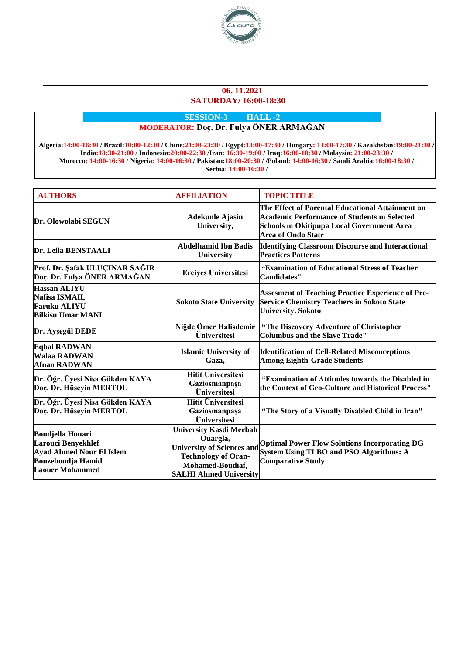

#### **SESSION-3 HALL -2 MODERATOR: Doç. Dr. Fulya ÖNER ARMAĞAN**

**Algeria:14:00-16:30 / Brazil:10:00-12:30 / Chine:21:00-23:30 / Egypt:13:00-17:30 / Hungary: 13:00-17:30 / Kazakhstan:19:00-21:30 / India:18:30-21:00 / Indonesia:20:00-22:30 /Iran: 16:30-19:00 / Iraq:16:00-18:30 / Malaysia: 21:00-23:30 / Morocco: 14:00-16:30 / Nigeria: 14:00-16:30 / Pakistan:18:00-20:30 / /Poland: 14:00-16:30 / Saudi Arabia:16:00-18:30 / Serbia: 14:00-16:30 /**

| <b>AUTHORS</b>                                                                                                                                | <b>AFFILIATION</b>                                                                                                                                                        | <b>TOPIC TITLE</b>                                                                                                                                                                        |
|-----------------------------------------------------------------------------------------------------------------------------------------------|---------------------------------------------------------------------------------------------------------------------------------------------------------------------------|-------------------------------------------------------------------------------------------------------------------------------------------------------------------------------------------|
| Dr. Olowolabi SEGUN                                                                                                                           | <b>Adekunle Ajasin</b><br>University,                                                                                                                                     | The Effect of Parental Educational Attainment on<br><b>Academic Performance of Students in Selected</b><br><b>Schools in Okitipupa Local Government Area</b><br><b>Area of Ondo State</b> |
| Dr. Leila BENSTAALI                                                                                                                           | <b>Abdelhamid Ibn Badis</b><br>University                                                                                                                                 | <b>Identifying Classroom Discourse and Interactional</b><br><b>Practices Patterns</b>                                                                                                     |
| Prof. Dr. Şafak ULUÇINAR SAĞIR<br>Doç. Dr. Fulya ÖNER ARMAĞAN                                                                                 | Erciyes Üniversitesi                                                                                                                                                      | "Examination of Educational Stress of Teacher<br>Candidates"                                                                                                                              |
| <b>Hassan ALIYU</b><br>Nafisa ISMAIL<br><b>Faruku ALIYU</b><br><b>Bilkisu Umar MANI</b>                                                       | <b>Sokoto State University</b>                                                                                                                                            | <b>Assesment of Teaching Practice Experience of Pre-</b><br><b>Service Chemistry Teachers in Sokoto State</b><br><b>University, Sokoto</b>                                                |
| Dr. Ayşegül DEDE                                                                                                                              | Niğde Ömer Halisdemir<br><b>Üniversitesi</b>                                                                                                                              | "The Discovery Adventure of Christopher<br>Columbus and the Slave Trade"                                                                                                                  |
| <b>Eqbal RADWAN</b><br>Walaa RADWAN<br><b>Afnan RADWAN</b>                                                                                    | <b>Islamic University of</b><br>Gaza,                                                                                                                                     | <b>Identification of Cell-Related Misconceptions</b><br><b>Among Eighth-Grade Students</b>                                                                                                |
| Dr. Öğr. Üyesi Nisa Gökden KAYA<br>Doç. Dr. Hüseyin MERTOL                                                                                    | <b>Hitit Üniversitesi</b><br>Gaziosmanpaşa<br>Üniversitesi                                                                                                                | "Examination of Attitudes towards the Disabled in<br>the Context of Geo-Culture and Historical Process"                                                                                   |
| Dr. Öğr. Üyesi Nisa Gökden KAYA<br>Doc. Dr. Hüseyin MERTOL                                                                                    | Hitit Üniversitesi<br>Gaziosmanpaşa<br>Üniversitesi                                                                                                                       | "The Story of a Visually Disabled Child in Iran"                                                                                                                                          |
| <b>Boudjella Houari</b><br><b>Larouci Benyekhlef</b><br><b>Ayad Ahmed Nour El Islem</b><br><b>Bouzeboudja Hamid</b><br><b>Laouer Mohammed</b> | <b>University Kasdi Merbah</b><br>Ouargla,<br><b>University of Sciences and</b><br><b>Technology of Oran-</b><br><b>Mohamed-Boudiaf,</b><br><b>SALHI Ahmed University</b> | <b>Optimal Power Flow Solutions Incorporating DG</b><br><b>System Using TLBO and PSO Algorithms: A</b><br><b>Comparative Study</b>                                                        |